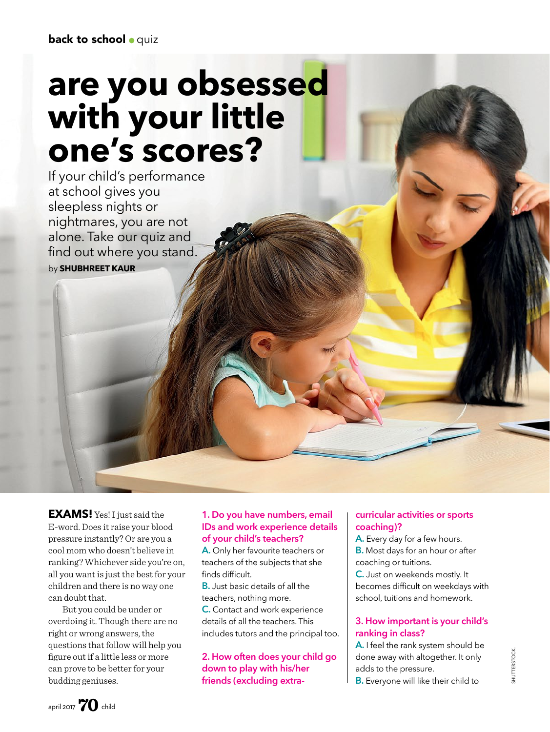# **are you obsessed with your little one's scores?**

If your child's performance at school gives you sleepless nights or nightmares, you are not alone. Take our quiz and find out where you stand. by **SHUBHREET KAUR**

**EXAMS!** Yes! I just said the E-word. Does it raise your blood pressure instantly? Or are you a cool mom who doesn't believe in ranking? Whichever side you're on, all you want is just the best for your children and there is no way one can doubt that.

But you could be under or overdoing it. Though there are no right or wrong answers, the questions that follow will help you figure out if a little less or more can prove to be better for your budding geniuses.

#### **1. Do you have numbers, email IDs and work experience details of your child's teachers?**

**A.** Only her favourite teachers or teachers of the subjects that she finds difficult.

**B.** Just basic details of all the teachers, nothing more.

**C.** Contact and work experience details of all the teachers. This includes tutors and the principal too.

**2. How often does your child go down to play with his/her friends (excluding extra-**

#### **curricular activities or sports coaching)?**

**A.** Every day for a few hours. **B.** Most days for an hour or after coaching or tuitions.

**C.** Just on weekends mostly. It becomes difficult on weekdays with school, tuitions and homework.

#### **3. How important is your child's ranking in class?**

**A.** I feel the rank system should be done away with altogether. It only adds to the pressure. **B.** Everyone will like their child to